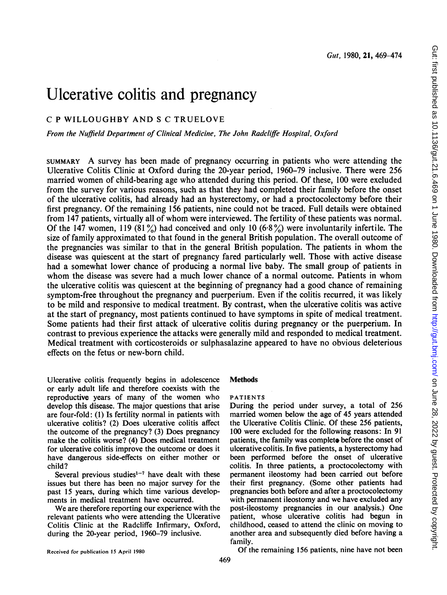# Ulcerative colitis and pregnancy

# C <sup>P</sup> WILLOUGHBY AND <sup>S</sup> C TRUELOVE

From the Nuffield Department of Clinical Medicine, The John Radcliffe Hospital, Oxford

SUMMARY A survey has been made of pregnancy occurring in patients who were attending the Ulcerative Colitis Clinic at Oxford during the 20-year period, 1960-79 inclusive. There were 256 married women of child-bearing age who attended during this period. Of these, 100 were excluded from the survey for various reasons, such as that they had completed their family before the onset of the ulcerative colitis, had already had an hysterectomy, or had a proctocolectomy before their first pregnancy. Of the remaining 156 patients, nine could not be traced. Full details were obtained from <sup>147</sup> patients, virtually all of whom were interviewed. The fertility of these patients was normal. Of the 147 women, 119 (81%) had conceived and only 10 (6.8%) were involuntarily infertile. The size of family approximated to that found in the general British population. The overall outcome of the pregnancies was similar to that in the general British population. The patients in whom the disease was quiescent at the start of pregnancy fared particularly well. Those with active disease had a somewhat lower chance of producing a normal live baby. The small group of patients in whom the disease was severe had <sup>a</sup> much lower chance of a normal outcome. Patients in whom the ulcerative colitis was quiescent at the beginning of pregnancy had a good chance of remaining symptom-free throughout the pregnancy and puerperium. Even if the colitis recurred, it was likely to be mild and responsive to medical treatment. By contrast, when the ulcerative colitis was active at the start of pregnancy, most patients continued to have symptoms in spite of medical treatment. Some patients had their first attack of ulcerative colitis during pregnancy or the puerperium. In contrast to previous experience the attacks were generally mild and responded to medical treatment. Medical treatment with corticosteroids or sulphasalazine appeared to have no obvious deleterious effects on the fetus or new-born child.

Ulcerative colitis frequently begins in adolescence or early adult life and therefore coexists with the reproductive years of many of the women who develop this disease. The major questions that arise are four-fold: (1) Is fertility normal in patients with ulcerative colitis? (2) Does ulcerative colitis affect the outcome of the pregnancy? (3) Does pregnancy make the colitis worse? (4) Does medical treatment for ulcerative colitis improve the outcome or does it have dangerous side-effects on either mother or child?

Several previous studies<sup>1-7</sup> have dealt with these issues but there has been no major survey for the past 15 years, during which time various developments in medical treatment have occurred.

We are therefore reporting our experience with the relevant patients who were attending the Ulcerative Colitis Clinic at the Radcliffe Infirmary, Oxford, during the 20-year period, 1960-79 inclusive.

# **Methods**

PATIENTS

During the period under survey, a total of 256 married women below the age of 45 years attended the Ulcerative Colitis Clinic. Of these 256 patients, 100 were excluded for the following reasons: In 91 patients, the family was complete before the onset of ulcerative colitis. In five patients, a hysterectomy had been performed before the onset of ulcerative colitis. In three patients, a proctocolectomy with permanent ileostomy had been carried out before their first pregnancy. (Some other patients had pregnancies both before and after a proctocolectomy with permanent ileostomy and we have excluded any post-ileostomy pregnancies in our analysis.) One patient, whose ulcerative colitis had begun in childhood, ceased to attend the clinic on moving to another area and subsequently died before having a family.

Received for publication 15 April 1980

Of the remaining 156 patients, nine have not been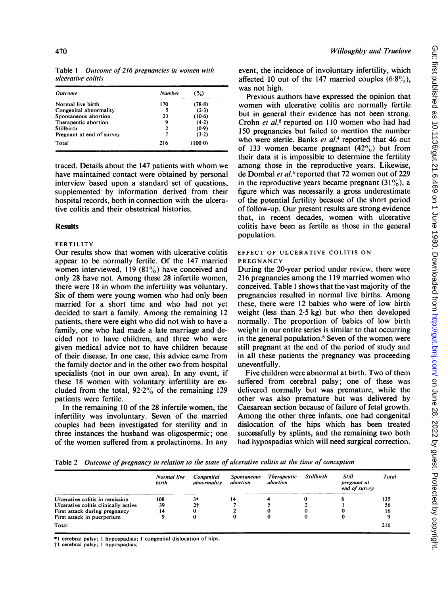| <b>Outcome</b>            | <b>Number</b> | $($ %)  |
|---------------------------|---------------|---------|
| Normal live birth         | 170           | (78.8)  |
| Congenital abnormality    | 5             | $(2-3)$ |
| Spontaneous abortion      | 23            | (10.6)  |
| Therapeutic abortion      | 9             | (4.2)   |
| Stillbirth                | 2             | (0.9)   |
| Pregnant at end of survey |               | (3.2)   |
| Total                     | 216           | (100.0) |

Table <sup>1</sup> Outcome of 216 pregnancies in women with ulcerative colitis

traced. Details about the <sup>147</sup> patients with whom we have maintained contact were obtained by personal interview based upon a standard set of questions, supplemented by information derived from their hospital records, both in connection with the ulcerative colitis and their obstetrical histories.

### **Results**

#### FERTILITY

Our results show that women with ulcerative colitis appear to be normally fertile. Of the 147 married women interviewed, 119 (81%) have conceived and only 28 have not. Among these 28 infertile women, there were <sup>18</sup> in whom the infertility was voluntary. Six of them were young women who had only been married for a short time and who had not yet decided to start a family. Among the remaining <sup>12</sup> patients, there were eight who did not wish to have a family, one who had made a late marriage and decided not to have children, and three who were given medical advice not to have children because of their disease. In one case, this advice came from the family doctor and in the other two from hospital specialists (not in our own area). In any event, if these 18 women with voluntary infertility are excluded from the total,  $92.2\%$  of the remaining 129 patients were fertile.

In the remaining 10 of the 28 infertile women, the infertility was involuntary. Seven of the married couples had been investigated for sterility and in three instances the husband was oligospermic; one of the women suffered from a prolactinoma. In any event, the incidence of involuntary infertility, which affected 10 out of the 147 married couples  $(6.8\%)$ , was not high.

Previous authors have expressed the opinion that women with ulcerative colitis are normally fertile but in general their evidence has not been strong. Crohn et al.<sup>2</sup> reported on 110 women who had had 150 pregnancies but failed to mention the number who were sterile. Banks et al.<sup>4</sup> reported that 46 out of 133 women became pregnant  $(42\%)$  but from their data it is impossible to determine the fertility among those in the reproductive years. Likewise, de Dombal et al.<sup>5</sup> reported that 72 women out of 229 in the reproductive years became pregnant  $(31\%)$ , a figure which was necessarily a gross underestimate of the potential fertility because of the short period of follow-up. Our present results are strong evidence that, in recent decades, women with ulcerative colitis have been as fertile as those in the general population.

#### EFFECT OF ULCERATIVE COLITIS ON PREGNANCY

During the 20-year period under review, there were 216 pregnancies among the 119 married women who conceived. Table <sup>1</sup> shows that the vast majority of the pregnancies resulted in normal live births. Among these, there were 12 babies who were of low birth weight (less than 2-5 kg) but who then developed normally. The proportion of babies of low birth weight in our entire series is similar to that occurring in the general population.<sup>8</sup> Seven of the women were still pregnant at the end of the period of study and in all these patients the pregnancy was proceeding

uneventfully. Five children were abnormal at birth. Two of them suffered from cerebral palsy; one of these was delivered normally but was premature, while the other was also premature but was delivered by Caesarean section because of failure of fetal growth. Among the other three infants, one had congenital dislocation of the hips which has been treated successfiully by splints, and the remaining two both had hypospadias which will need surgical correction.

Table 2 Outcome of pregnancy in relation to the state of ulcerative colitis at the time of conception

|                                      | Normal live<br>birth | Congenital<br>abnormality | <b>Spontaneous</b><br>abortion | <b>Therapeutic</b><br>abortion | <b>Stillbirth</b> | Still<br>pregnant at<br>end of survey | <b>Total</b> |
|--------------------------------------|----------------------|---------------------------|--------------------------------|--------------------------------|-------------------|---------------------------------------|--------------|
| Ulcerative colitis in remission      | 108                  | 3*                        |                                |                                |                   |                                       | 135          |
| Ulcerative colitis clinically active | 39                   | 2†                        |                                |                                |                   |                                       | 56           |
| First attack during pregnancy        | 14                   |                           |                                |                                |                   |                                       | 16           |
| First attack in puerperium           |                      |                           |                                |                                |                   |                                       |              |
| Total                                |                      |                           |                                |                                |                   |                                       | 216          |

\*1 cerebral palsy; <sup>1</sup> hypospadias; <sup>1</sup> congenital dislocation of hips.

t <sup>1</sup> cerebral palsy; <sup>1</sup> hypospadias.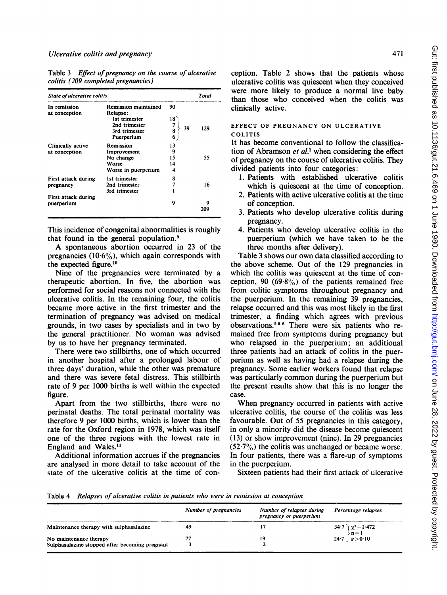Table 3 Effect of pregnancy on the course of ulcerative colitis (209 completed pregnancies)

| State of ulcerative colitis        |                                                                       |                          | Total    | were<br>m<br>than the                            |
|------------------------------------|-----------------------------------------------------------------------|--------------------------|----------|--------------------------------------------------|
| In remission<br>at conception      | <b>Remission maintained</b><br>Relapse:                               | 90                       |          | clinically                                       |
|                                    | 1st trimester<br>2nd trimester<br>3rd trimester<br>Puerperium         | 18<br>7<br>39<br>8<br>6  | 129      | <b>EFFECT</b><br><b>COLITIS</b>                  |
| Clinically active<br>at conception | Remission<br>Improvement<br>No change<br>Worse<br>Worse in puerperium | 13<br>9<br>15<br>14<br>4 | 55       | It has be<br>tion of $A$<br>of pregna<br>divided |
| First attack during<br>pregnancy   | 1st trimester<br>2nd trimester<br>3rd trimester                       | 8<br>7                   | 16       | 1. Pati<br>whi                                   |
| First attack during<br>puerperium  |                                                                       | 9                        | 9<br>209 | 2. Pati<br>of c<br>3. Pati                       |

This incidence of congenital abnormalities is roughly that found in the general population. $9$ 

A spontaneous abortion occurred in 23 of the pregnancies  $(10.6\%)$ , which again corresponds with the expected figure.10

Nine of the pregnancies were terminated by a therapeutic abortion. In five, the performed for social reasons not connected with the ulcerative colitis. In the remaining became more active in the first trimester and the termination of pregnancy was advised on medical grounds, in two cases by specialists the general practitioner. No woman was advised by us to have her pregnancy terminated.

There were two stillbirths, one of which occurred in another hospital after a prolonged labour of three days' duration, while the other was premature and there was severe fetal distress. This stillbirth rate of 9 per 1000 births is well within the expected figure.

Apart from the two stillbirths, there were no perinatal deaths. The total perinata therefore 9 per 1000 births, which is rate for the Oxford region in 1978, which was itself one of the three regions with the lowest rate in England and Wales.11

Additional information accrues if the pregnancies are analysed in more detail to take state of the ulcerative colitis at the time of conception. Table 2 shows that the patients whose ulcerative colitis was quiescent when they conceived were more likely to produce a normal live baby than those who conceived when the colitis was clinically active.

# EFFECT OF PREGNANCY ON ULCERATIVE<br>COLITIS

It has become conventional to follow the classification of Abramson et  $al$ <sup>1</sup> when considering the effect of pregnancy on the course of ulcerative colitis. They divided patients into four categories:

- 1. Patients with established ulcerative colitis which is quiescent at the time of conception.
- 2. Patients with active ulcerative colitis at the time of conception.
- 3. Patients who develop ulcerative colitis during pregnancy.
- 4. Patients who develop ulcerative colitis in the puerperium (which we have taken to be the three months after delivery).

Table 3 shows our own data classified according to the above scheme. Out of the 129 pregnancies in which the colitis was quiescent at the time of conception, 90 (69.8%) of the patients remained free from colitic symptoms throughout pregnancy and the puerperium. In the remaining 39 pregnancies, relapse occurred and this was most likely in the first trimester, a finding which agrees with previous observations.<sup>256</sup> There were six patients who remained free from symptoms during pregnancy but who relapsed in the puerperium; an additional three patients had an attack of colitis in the puerperium as well as having had a relapse during the pregnancy. Some earlier workers found that relapse was particularly common during the puerperium but the present results show that this is no longer the case.

When pregnancy occurred in patients with active ulcerative colitis, the course of the colitis was less favourable. Out of 55 pregnancies in this category, in only a minority did the disease become quiescent  $(13)$  or show improvement (nine). In 29 pregnancies  $(52.7\%)$  the colitis was unchanged or became worse. In four patients, there was a flare-up of symptoms in the puerperium.

Sixteen patients had their first attack of ulcerative

Table 4 Relapses of ulcerative colitis in patients who were in remission at conception

|                                                                          | Number of pregnancies | Number of relapses during<br>pregnancy or puerperium | Percentage relapses              |  |  |
|--------------------------------------------------------------------------|-----------------------|------------------------------------------------------|----------------------------------|--|--|
| Maintenance therapy with sulphasalazine                                  | -49                   |                                                      | 34.7 $\chi^2 = 1.472$<br>$n = 1$ |  |  |
| No maintenance therapy<br>Sulphasalazine stopped after becoming pregnant | 77                    | 19                                                   | 24 7   $p > 0.10$                |  |  |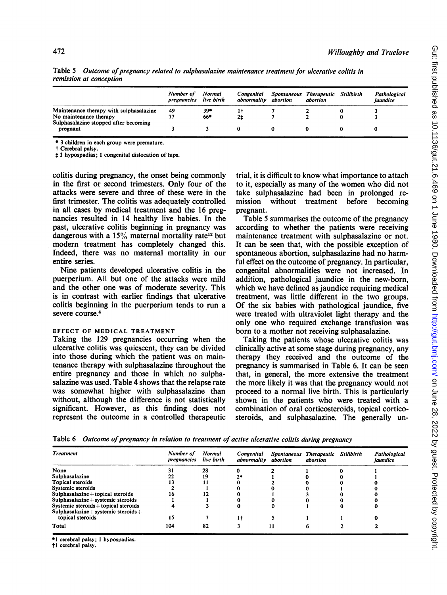|                                                                 | Number of<br>pregnancies | Normal<br>live birth | Congenital<br>abnormality | abortion | Spontaneous Therapeutic<br>abortion | Stillbirth | Pathological<br>jaundice |
|-----------------------------------------------------------------|--------------------------|----------------------|---------------------------|----------|-------------------------------------|------------|--------------------------|
| Maintenance therapy with sulphasalazine                         | 49                       | 39*                  |                           |          |                                     |            |                          |
| No maintenance therapy<br>Sulphasalazine stopped after becoming |                          | 66*                  | 21                        |          |                                     |            |                          |
| pregnant                                                        |                          |                      |                           |          |                                     |            |                          |

Table 5 Outcome of pregnancy related to sulphasalazine maintenance treatment for ulcerative colitis in remission at conception

\* 3 children in each group were premature.

t Cerebral palsy.

 $\ddagger$  1 hypospadias; 1 congenital dislocation of hips.

colitis during pregnancy, the onset being commonly in the first or second trimesters. Only four of the attacks were severe and three of these were in the first trimester. The colitis was adequately controlled in all cases by medical treatment and the 16 pregnancies resulted in 14 healthy live babies. In the past, ulcerative colitis beginning in pregnancy was dangerous with a  $15\%$  maternal mortality rate<sup>12</sup> but modern treatment has completely changed this. Indeed, there was no maternal mortality in our entire series.

Nine patients developed ulcerative colitis in the puerperium. All but one of the attacks were mild and the other one was of moderate severity. This is in contrast with earlier findings that ulcerative colitis beginning in the puerperium tends to run a severe course.4

#### EFFECT OF MEDICAL TREATMENT

Taking the 129 pregnancies occurring when the ulcerative colitis was quiescent, they can be divided into those during which the patient was on maintenance therapy with sulphasalazine throughout the entire pregnancy and those in which no sulphasalazine was used. Table 4 shows that the relapse rate was somewhat higher with sulphasalazine than without, although the difference is not statistically significant. However, as this finding does not represent the outcome in a controlled therapeutic trial, it is difficult to know what importance to attach to it, especially as many of the women who did not take sulphasalazine had been in prolonged remission without treatment before becoming pregnant.

Table 5 summarises the outcome of the pregnancy according to whether the patients were receiving maintenance treatment with sulphasalazine or not. It can be seen that, with the possible exception of spontaneous abortion, sulphasalazine had no harmful effect on the outcome of pregnancy. In particular, congenital abnormalities were not increased. In addition, pathological jaundice in the new-born, which we have defined as jaundice requiring medical treatment, was little different in the two groups. Of the six babies with pathological jaundice, five were treated with ultraviolet light therapy and the only one who required exchange transfusion was born to a mother not receiving sulphasalazine.

Taking the patients whose ulcerative colitis was clinically active at some stage during pregnancy, any therapy they received and the outcome of the pregnancy is summarised in Table 6. It can be seen that, in general, the more extensive the treatment the more likely it was that the pregnancy would not proceed to a normal live birth. This is particularly shown in the patients who were treated with a combination of oral corticosteroids, topical corticosteroids, and sulphasalazine. The generally un-

Table 6 Outcome of pregnancy in relation to treatment of active ulcerative colitis during pregnancy

| <b>Treatment</b>                                                             | Number of<br>pregnancies | <b>Normal</b><br>live birth | Congenital<br>abnormality abortion |    | Spontaneous Therapeutic<br>abortion | <b>Stillbirth</b> | Pathological<br>jaundice |
|------------------------------------------------------------------------------|--------------------------|-----------------------------|------------------------------------|----|-------------------------------------|-------------------|--------------------------|
| None                                                                         |                          | 28                          |                                    |    |                                     |                   |                          |
| Sulphasalazine                                                               | 22                       | 19                          | つき                                 |    |                                     |                   |                          |
| Topical steroids                                                             |                          |                             |                                    |    |                                     |                   |                          |
| Systemic steroids                                                            |                          |                             |                                    |    |                                     |                   |                          |
| $Sulp has a lazine + topical steroids$                                       | 16                       |                             |                                    |    |                                     |                   |                          |
| Sulphasalazine + systemic steroids                                           |                          |                             |                                    |    |                                     |                   |                          |
| Systemic steroids + topical steroids<br>Sulphasalazine + systemic steroids + |                          |                             |                                    |    |                                     |                   |                          |
| topical steroids                                                             | 15                       |                             | 1†                                 |    |                                     |                   |                          |
| Total                                                                        | 104                      | 82                          |                                    | 11 |                                     |                   |                          |

<sup>l</sup> cerebral palsy; <sup>1</sup> hypospadias.

tl cerebral palsy.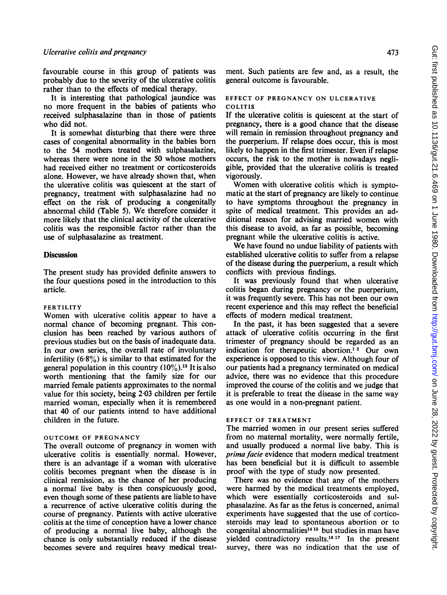favourable course in this group of patients was probably due to the severity of the ulcerative colitis rather than to the effects of medical therapy.

It is interesting that pathological jaundice was no more frequent in the babies of patients who received sulphasalazine than in those of patients who did not.

It is somewhat disturbing that there were three cases of congenital abnormality in the babies born to the 54 mothers treated with sulphasalazine, whereas there were none in the 50 whose mothers had received either no treatment or corticosteroids alone. However, we have already shown that, when the ulcerative colitis was quiescent at the start of pregnancy, treatment with sulphasalazine had no effect on the risk of producing a congenitally abnormal child (Table 5). We therefore consider it more likely that the clinical activity of the ulcerative colitis was the responsible factor rather than the use of sulphasalazine as treatment.

### **Discussion**

The present study has provided definite answers to the four questions posed in the introduction to this article.

#### FERTILITY

Women with ulcerative colitis appear to have a normal chance of becoming pregnant. This conclusion has been reached by various authors of previous studies but on the basis of inadequate data. In our own series, the overall rate of involuntary infertility  $(6.8\%)$  is similar to that estimated for the general population in this country  $(10\%)$ .<sup>13</sup> It is also worth mentioning that the family size for our married female patients approximates to the normal value for this society, being 2.03 children per fertile married woman, especially when it is remembered that 40 of our patients intend to have additional children in the future.

### OUTCOME OF PREGNANCY

The overall outcome of pregnancy in women with ulcerative colitis is essentially normal. However, there is an advantage if a woman with ulcerative colitis becomes pregnant when the disease is in clinical remission, as the chance of her producing a normal live baby is then conspicuously good, even though some of these patients are liable to have a recurrence of active ulcerative colitis during the course of pregnancy. Patients with active ulcerative colitis at the time of conception have a lower chance of producing a normal live baby, although the chance is only substantially reduced if the disease becomes severe and requires heavy medical treatment. Such patients are few and, as a result, the general outcome is favourable.

#### EFFECT OF PREGNANCY ON ULCERATIVE COLITIS

If the ulcerative colitis is quiescent at the start of pregnancy, there is a good chance that the disease will remain in remission throughout pregnancy and the puerperium. If relapse does occur, this is most likely to happen in the first trimester. Even if relapse occurs, the risk to the mother is nowadays negligible, provided that the ulcerative colitis is treated vigorously.

Women with ulcerative colitis which is symptomatic at the start of pregnancy are likely to continue to have symptoms throughout the pregnancy in spite of medical treatment. This provides an additional reason for advising married women with this disease to avoid, as far as possible, becoming pregnant while the ulcerative colitis is active.

We have found no undue liability of patients with established ulcerative colitis to suffer from a relapse of the disease during the puerperium, a result which conflicts with previous findings.

It was previously found that when ulcerative colitis began during pregnancy or the puerperium, it was frequently severe. This has not been our own recent experience and this may reflect the beneficial effects of modern medical treatment.

In the past, it has been suggested that a severe attack of ulcerative colitis occurring in the first trimester of pregnancy should be regarded as an indication for therapeutic abortion.<sup>12</sup> Our own experience is opposed to this view. Although four of our patients had a pregnancy terminated on medical advice, there was no evidence that this procedure improved the course of the colitis and we judge that it is preferable to treat the disease in the same way as one would in a non-pregnant patient.

## EFFECT OF TREATMENT

The married women in our present series suffered from no maternal mortality, were normally fertile, and usually produced a normal live baby. This is prima facie evidence that modern medical treatment has been beneficial but it is difficult to assemble proof with the type of study now presented.

There was no evidence that any of the mothers were harmed by the medical treatments employed, which were essentially corticosteroids and sulphasalazine. As far as the fetus is concerned, animal experiments have suggested that the use of corticosteroids may lead to spontaneous abortion or to congenital abnormalities<sup>14 15</sup> but studies in man have yielded contradictory results.'6 <sup>17</sup> In the present survey, there was no indication that the use of